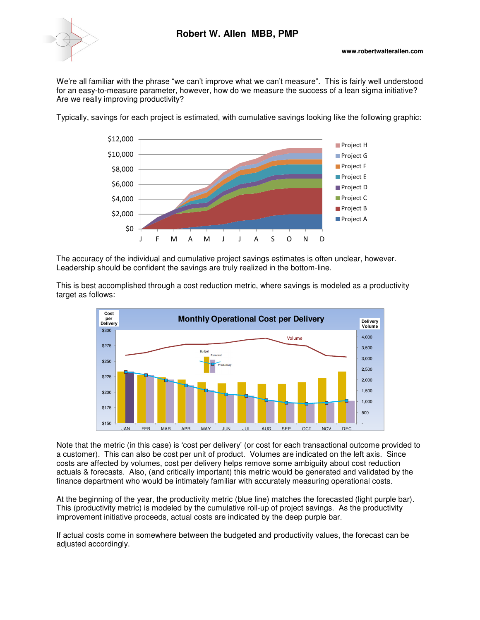

We're all familiar with the phrase "we can't improve what we can't measure". This is fairly well understood for an easy-to-measure parameter, however, how do we measure the success of a lean sigma initiative? Are we really improving productivity?

Typically, savings for each project is estimated, with cumulative savings looking like the following graphic:



The accuracy of the individual and cumulative project savings estimates is often unclear, however. Leadership should be confident the savings are truly realized in the bottom-line.

This is best accomplished through a cost reduction metric, where savings is modeled as a productivity target as follows:



Note that the metric (in this case) is 'cost per delivery' (or cost for each transactional outcome provided to a customer). This can also be cost per unit of product. Volumes are indicated on the left axis. Since costs are affected by volumes, cost per delivery helps remove some ambiguity about cost reduction actuals & forecasts. Also, (and critically important) this metric would be generated and validated by the finance department who would be intimately familiar with accurately measuring operational costs.

At the beginning of the year, the productivity metric (blue line) matches the forecasted (light purple bar). This (productivity metric) is modeled by the cumulative roll-up of project savings. As the productivity improvement initiative proceeds, actual costs are indicated by the deep purple bar.

If actual costs come in somewhere between the budgeted and productivity values, the forecast can be adjusted accordingly.